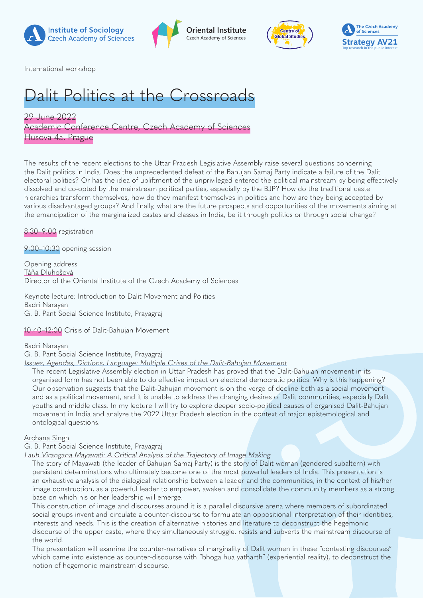







International workshop

# Dalit Politics at the Crossroads

29 June 2022 Academic Conference Centre, Czech Academy of Sciences Husova 4a, Prague

The results of the recent elections to the Uttar Pradesh Legislative Assembly raise several questions concerning the Dalit politics in India. Does the unprecedented defeat of the Bahujan Samaj Party indicate a failure of the Dalit electoral politics? Or has the idea of upliftment of the unprivileged entered the political mainstream by being effectively dissolved and co-opted by the mainstream political parties, especially by the BJP? How do the traditional caste hierarchies transform themselves, how do they manifest themselves in politics and how are they being accepted by various disadvantaged groups? And finally, what are the future prospects and opportunities of the movements aiming at the emancipation of the marginalized castes and classes in India, be it through politics or through social change?

8:30–9:00 registration

9:00–10:30 opening session

Opening address Táňa Dluhošová Director of the Oriental Institute of the Czech Academy of Sciences

Keynote lecture: Introduction to Dalit Movement and Politics Badri Narayan G. B. Pant Social Science Institute, Prayagraj

10:40–12:00 Crisis of Dalit-Bahujan Movement

#### Badri Narayan

G. B. Pant Social Science Institute, Prayagraj

Issues, Agendas, Dictions, Language: Multiple Crises of the Dalit-Bahujan Movement

The recent Legislative Assembly election in Uttar Pradesh has proved that the Dalit-Bahujan movement in its organised form has not been able to do effective impact on electoral democratic politics. Why is this happening? Our observation suggests that the Dalit-Bahujan movement is on the verge of decline both as a social movement and as a political movement, and it is unable to address the changing desires of Dalit communities, especially Dalit youths and middle class. In my lecture I will try to explore deeper socio-political causes of organised Dalit-Bahujan movement in India and analyze the 2022 Uttar Pradesh election in the context of major epistemological and ontological questions.

#### Archana Singh

G. B. Pant Social Science Institute, Prayagraj

Lauh Virangana Mayawati: A Critical Analysis of the Trajectory of Image Making

The story of Mayawati (the leader of Bahujan Samaj Party) is the story of Dalit woman (gendered subaltern) with persistent determinations who ultimately become one of the most powerful leaders of India. This presentation is an exhaustive analysis of the dialogical relationship between a leader and the communities, in the context of his/her image construction, as a powerful leader to empower, awaken and consolidate the community members as a strong base on which his or her leadership will emerge.

This construction of image and discourses around it is a parallel discursive arena where members of subordinated social groups invent and circulate a counter-discourse to formulate an oppositional interpretation of their identities, interests and needs. This is the creation of alternative histories and literature to deconstruct the hegemonic discourse of the upper caste, where they simultaneously struggle, resists and subverts the mainstream discourse of the world.

The presentation will examine the counter-narratives of marginality of Dalit women in these "contesting discourses" which came into existence as counter-discourse with "bhoga hua yatharth" (experiential reality), to deconstruct the notion of hegemonic mainstream discourse.